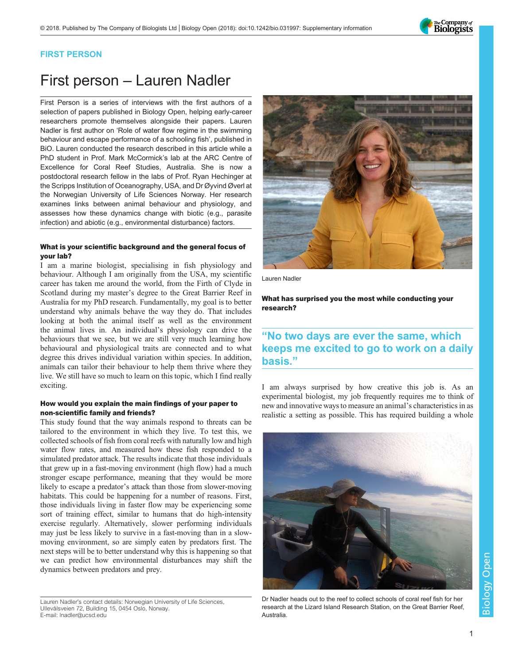

### FIRST PERSON

# First person – Lauren Nadler

First Person is a series of interviews with the first authors of a selection of papers published in Biology Open, helping early-career researchers promote themselves alongside their papers. Lauren Nadler is first author on '[Role of water flow regime in the swimming](#page-1-0) [behaviour and escape performance of a schooling fish](#page-1-0)', published in BiO. Lauren conducted the research described in this article while a PhD student in Prof. Mark McCormick's lab at the ARC Centre of Excellence for Coral Reef Studies, Australia. She is now a postdoctoral research fellow in the labs of Prof. Ryan Hechinger at the Scripps Institution of Oceanography, USA, and Dr Øyvind Øverl at the Norwegian University of Life Sciences Norway. Her research examines links between animal behaviour and physiology, and assesses how these dynamics change with biotic (e.g., parasite infection) and abiotic (e.g., environmental disturbance) factors.

#### What is your scientific background and the general focus of your lab?

I am a marine biologist, specialising in fish physiology and behaviour. Although I am originally from the USA, my scientific career has taken me around the world, from the Firth of Clyde in Scotland during my master's degree to the Great Barrier Reef in Australia for my PhD research. Fundamentally, my goal is to better understand why animals behave the way they do. That includes looking at both the animal itself as well as the environment the animal lives in. An individual's physiology can drive the behaviours that we see, but we are still very much learning how behavioural and physiological traits are connected and to what degree this drives individual variation within species. In addition, animals can tailor their behaviour to help them thrive where they live. We still have so much to learn on this topic, which I find really exciting.

#### How would you explain the main findings of your paper to non-scientific family and friends?

This study found that the way animals respond to threats can be tailored to the environment in which they live. To test this, we collected schools of fish from coral reefs with naturally low and high water flow rates, and measured how these fish responded to a simulated predator attack. The results indicate that those individuals that grew up in a fast-moving environment (high flow) had a much stronger escape performance, meaning that they would be more likely to escape a predator's attack than those from slower-moving habitats. This could be happening for a number of reasons. First, those individuals living in faster flow may be experiencing some sort of training effect, similar to humans that do high-intensity exercise regularly. Alternatively, slower performing individuals may just be less likely to survive in a fast-moving than in a slowmoving environment, so are simply eaten by predators first. The next steps will be to better understand why this is happening so that we can predict how environmental disturbances may shift the dynamics between predators and prey.

Lauren Nadler's contact details: Norwegian University of Life Sciences, Ullevålsveien 72, Building 15, 0454 Oslo, Norway. E-mail: [lnadler@ucsd.edu](mailto:lnadler@ucsd.edu)



Lauren Nadler

What has surprised you the most while conducting your research?

## "No two days are ever the same, which keeps me excited to go to work on a daily basis."

I am always surprised by how creative this job is. As an experimental biologist, my job frequently requires me to think of new and innovative ways to measure an animal's characteristics in as realistic a setting as possible. This has required building a whole



Dr Nadler heads out to the reef to collect schools of coral reef fish for her research at the Lizard Island Research Station, on the Great Barrier Reef, **Australia**